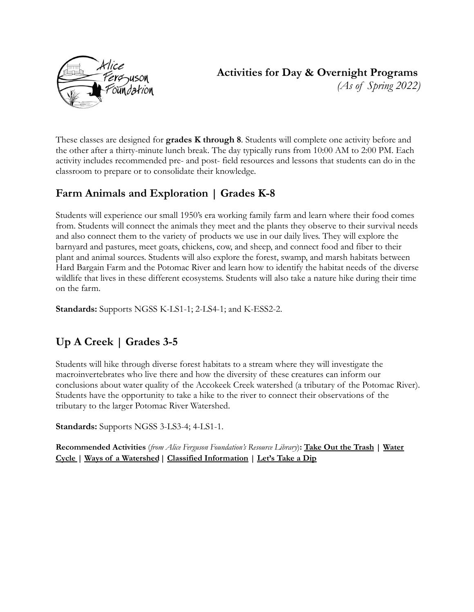

These classes are designed for **grades K through 8**. Students will complete one activity before and the other after a thirty-minute lunch break. The day typically runs from 10:00 AM to 2:00 PM. Each activity includes recommended pre- and post- field resources and lessons that students can do in the classroom to prepare or to consolidate their knowledge.

# **Farm Animals and Exploration | Grades K-8**

Students will experience our small 1950's era working family farm and learn where their food comes from. Students will connect the animals they meet and the plants they observe to their survival needs and also connect them to the variety of products we use in our daily lives. They will explore the barnyard and pastures, meet goats, chickens, cow, and sheep, and connect food and fiber to their plant and animal sources. Students will also explore the forest, swamp, and marsh habitats between Hard Bargain Farm and the Potomac River and learn how to identify the habitat needs of the diverse wildlife that lives in these different ecosystems. Students will also take a nature hike during their time on the farm.

**Standards:** Supports NGSS K-LS1-1; 2-LS4-1; and K-ESS2-2.

# **Up A Creek | Grades 3-5**

Students will hike through diverse forest habitats to a stream where they will investigate the macroinvertebrates who live there and how the diversity of these creatures can inform our conclusions about water quality of the Accokeek Creek watershed (a tributary of the Potomac River). Students have the opportunity to take a hike to the river to connect their observations of the tributary to the larger Potomac River Watershed.

**Standards:** Supports NGSS 3-LS3-4; 4-LS1-1.

**Recommended Activities** (*from Alice Ferguson Foundation's Resource Library*)**: Take Out the [Trash](https://www.fergusonfoundation.org/resources/?exposed_search=Take+out+the+trash+lesson) | [Water](https://www.fergusonfoundation.org/resources/?exposed_search=Water+Cycle) [Cycle](https://www.fergusonfoundation.org/resources/?exposed_search=Water+Cycle) | Ways of a [Watershed](https://www.fergusonfoundation.org/resources/?exposed_search=Ways+of+a+Watershed)| Classified [Information](https://www.fergusonfoundation.org/resources/?exposed_search=Classified) | Let's [Take](https://www.fergusonfoundation.org/resources/?exposed_search=Let%E2%80%99s+Take+a+Dip) a Dip**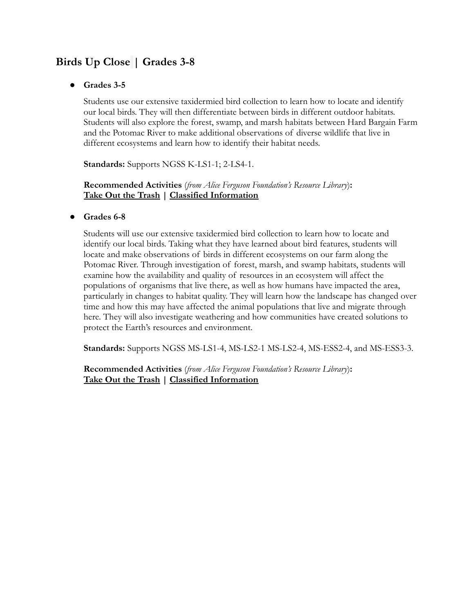## **Birds Up Close | Grades 3-8**

### ● **Grades 3-5**

Students use our extensive taxidermied bird collection to learn how to locate and identify our local birds. They will then differentiate between birds in different outdoor habitats. Students will also explore the forest, swamp, and marsh habitats between Hard Bargain Farm and the Potomac River to make additional observations of diverse wildlife that live in different ecosystems and learn how to identify their habitat needs.

**Standards:** Supports NGSS K-LS1-1; 2-LS4-1.

### **Recommended Activities** (*from Alice Ferguson Foundation's Resource Library*)**: [Take Out the Trash](https://www.fergusonfoundation.org/resources/?exposed_search=Take+out+the+trash+lesson) | [Classified Information](https://www.fergusonfoundation.org/resources/?exposed_search=Classified)**

#### ● **Grades 6-8**

Students will use our extensive taxidermied bird collection to learn how to locate and identify our local birds. Taking what they have learned about bird features, students will locate and make observations of birds in different ecosystems on our farm along the Potomac River. Through investigation of forest, marsh, and swamp habitats, students will examine how the availability and quality of resources in an ecosystem will affect the populations of organisms that live there, as well as how humans have impacted the area, particularly in changes to habitat quality. They will learn how the landscape has changed over time and how this may have affected the animal populations that live and migrate through here. They will also investigate weathering and how communities have created solutions to protect the Earth's resources and environment.

**Standards:** Supports NGSS MS-LS1-4, MS-LS2-1 MS-LS2-4, MS-ESS2-4, and MS-ESS3-3.

**Recommended Activities** (*from Alice Ferguson Foundation's Resource Library*)**: [Take Out the Trash](https://www.fergusonfoundation.org/resources/?exposed_search=Take+out+the+trash+lesson) | [Classified Information](https://www.fergusonfoundation.org/resources/?exposed_search=Classified)**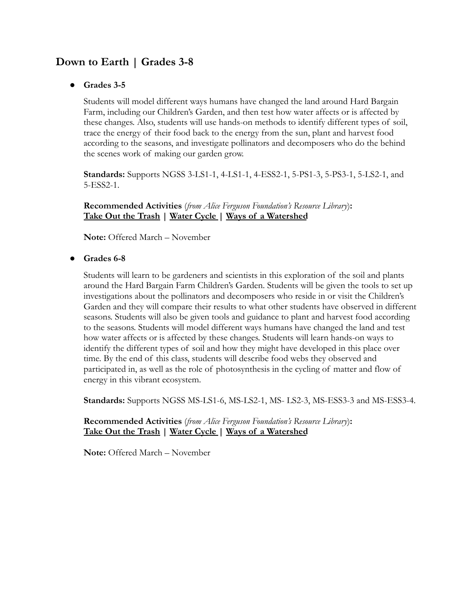## **Down to Earth | Grades 3-8**

### ● **Grades 3-5**

Students will model different ways humans have changed the land around Hard Bargain Farm, including our Children's Garden, and then test how water affects or is affected by these changes. Also, students will use hands-on methods to identify different types of soil, trace the energy of their food back to the energy from the sun, plant and harvest food according to the seasons, and investigate pollinators and decomposers who do the behind the scenes work of making our garden grow.

**Standards:** Supports NGSS 3-LS1-1, 4-LS1-1, 4-ESS2-1, 5-PS1-3, 5-PS3-1, 5-LS2-1, and 5-ESS2-1.

**Recommended Activities** (*from Alice Ferguson Foundation's Resource Library*)**: [Take Out the Trash](https://www.fergusonfoundation.org/resources/?exposed_search=Take+out+the+trash+lesson) | [Water Cycle](https://www.fergusonfoundation.org/resources/?exposed_search=Water+Cycle) | [Ways of a Watershed](https://www.fergusonfoundation.org/resources/?exposed_search=Ways+of+a+Watershed)**

**Note:** Offered March – November

● **Grades 6-8**

Students will learn to be gardeners and scientists in this exploration of the soil and plants around the Hard Bargain Farm Children's Garden. Students will be given the tools to set up investigations about the pollinators and decomposers who reside in or visit the Children's Garden and they will compare their results to what other students have observed in different seasons. Students will also be given tools and guidance to plant and harvest food according to the seasons. Students will model different ways humans have changed the land and test how water affects or is affected by these changes. Students will learn hands-on ways to identify the different types of soil and how they might have developed in this place over time. By the end of this class, students will describe food webs they observed and participated in, as well as the role of photosynthesis in the cycling of matter and flow of energy in this vibrant ecosystem.

**Standards:** Supports NGSS MS-LS1-6, MS-LS2-1, MS- LS2-3, MS-ESS3-3 and MS-ESS3-4.

**Recommended Activities** (*from Alice Ferguson Foundation's Resource Library*)**: [Take Out the Trash](https://www.fergusonfoundation.org/resources/?exposed_search=Take+out+the+trash+lesson) | [Water Cycle](https://www.fergusonfoundation.org/resources/?exposed_search=Water+Cycle) | [Ways of a Watershed](https://www.fergusonfoundation.org/resources/?exposed_search=Ways+of+a+Watershed)**

**Note:** Offered March – November